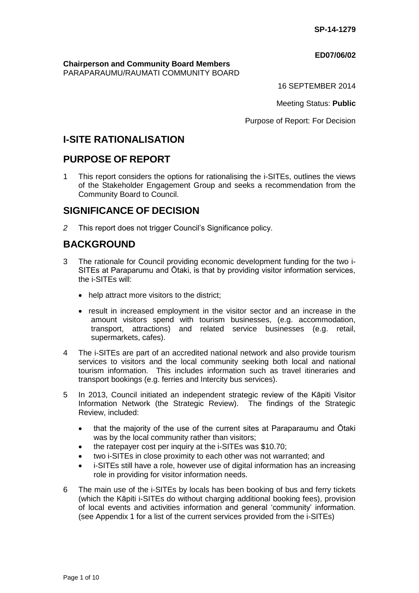#### **ED07/06/02**

#### **Chairperson and Community Board Members** PARAPARAUMU/RAUMATI COMMUNITY BOARD

16 SEPTEMBER 2014

Meeting Status: **Public**

Purpose of Report: For Decision

# **I-SITE RATIONALISATION**

# **PURPOSE OF REPORT**

1 This report considers the options for rationalising the i-SITEs, outlines the views of the Stakeholder Engagement Group and seeks a recommendation from the Community Board to Council.

# **SIGNIFICANCE OF DECISION**

*2* This report does not trigger Council's Significance policy.

# **BACKGROUND**

- 3 The rationale for Council providing economic development funding for the two i-SITEs at Paraparumu and Ōtaki, is that by providing visitor information services, the i-SITEs will:
	- help attract more visitors to the district;
	- result in increased employment in the visitor sector and an increase in the amount visitors spend with tourism businesses, (e.g. accommodation, transport, attractions) and related service businesses (e.g. retail, supermarkets, cafes).
- 4 The i-SITEs are part of an accredited national network and also provide tourism services to visitors and the local community seeking both local and national tourism information. This includes information such as travel itineraries and transport bookings (e.g. ferries and Intercity bus services).
- 5 In 2013, Council initiated an independent strategic review of the Kāpiti Visitor Information Network (the Strategic Review). The findings of the Strategic Review, included:
	- that the majority of the use of the current sites at Paraparaumu and Ōtaki was by the local community rather than visitors;
	- the ratepayer cost per inquiry at the i-SITEs was \$10.70;
	- two i-SITEs in close proximity to each other was not warranted; and
	- i-SITEs still have a role, however use of digital information has an increasing role in providing for visitor information needs.
- 6 The main use of the i-SITEs by locals has been booking of bus and ferry tickets (which the Kāpiti i-SITEs do without charging additional booking fees), provision of local events and activities information and general 'community' information. (see Appendix 1 for a list of the current services provided from the i-SITEs)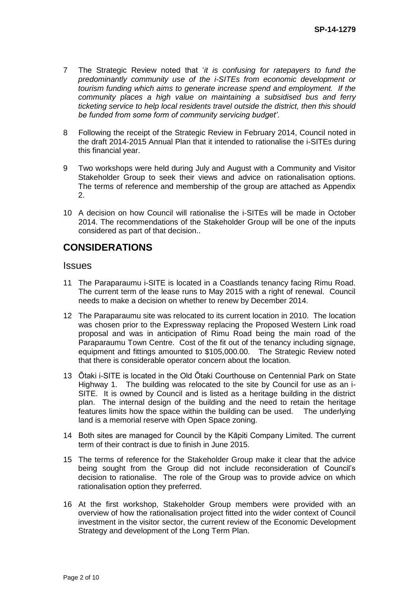- 7 The Strategic Review noted that '*it is confusing for ratepayers to fund the predominantly community use of the i-SITEs from economic development or tourism funding which aims to generate increase spend and employment. If the community places a high value on maintaining a subsidised bus and ferry ticketing service to help local residents travel outside the district, then this should be funded from some form of community servicing budget'*.
- 8 Following the receipt of the Strategic Review in February 2014, Council noted in the draft 2014-2015 Annual Plan that it intended to rationalise the i-SITEs during this financial year.
- 9 Two workshops were held during July and August with a Community and Visitor Stakeholder Group to seek their views and advice on rationalisation options. The terms of reference and membership of the group are attached as Appendix 2.
- 10 A decision on how Council will rationalise the i-SITEs will be made in October 2014. The recommendations of the Stakeholder Group will be one of the inputs considered as part of that decision..

# **CONSIDERATIONS**

## **Issues**

- 11 The Paraparaumu i-SITE is located in a Coastlands tenancy facing Rimu Road. The current term of the lease runs to May 2015 with a right of renewal. Council needs to make a decision on whether to renew by December 2014.
- 12 The Paraparaumu site was relocated to its current location in 2010. The location was chosen prior to the Expressway replacing the Proposed Western Link road proposal and was in anticipation of Rimu Road being the main road of the Paraparaumu Town Centre. Cost of the fit out of the tenancy including signage, equipment and fittings amounted to \$105,000.00. The Strategic Review noted that there is considerable operator concern about the location.
- 13 Ōtaki i-SITE is located in the Old Ōtaki Courthouse on Centennial Park on State Highway 1. The building was relocated to the site by Council for use as an i-SITE. It is owned by Council and is listed as a heritage building in the district plan. The internal design of the building and the need to retain the heritage features limits how the space within the building can be used. The underlying land is a memorial reserve with Open Space zoning.
- 14 Both sites are managed for Council by the Kāpiti Company Limited. The current term of their contract is due to finish in June 2015.
- 15 The terms of reference for the Stakeholder Group make it clear that the advice being sought from the Group did not include reconsideration of Council's decision to rationalise. The role of the Group was to provide advice on which rationalisation option they preferred.
- 16 At the first workshop, Stakeholder Group members were provided with an overview of how the rationalisation project fitted into the wider context of Council investment in the visitor sector, the current review of the Economic Development Strategy and development of the Long Term Plan.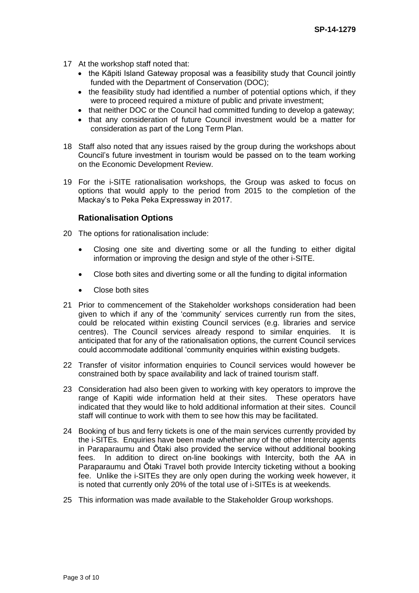- 17 At the workshop staff noted that:
	- the Kāpiti Island Gateway proposal was a feasibility study that Council jointly funded with the Department of Conservation (DOC);
	- the feasibility study had identified a number of potential options which, if they were to proceed required a mixture of public and private investment;
	- that neither DOC or the Council had committed funding to develop a gateway;
	- that any consideration of future Council investment would be a matter for consideration as part of the Long Term Plan.
- 18 Staff also noted that any issues raised by the group during the workshops about Council's future investment in tourism would be passed on to the team working on the Economic Development Review.
- 19 For the i-SITE rationalisation workshops, the Group was asked to focus on options that would apply to the period from 2015 to the completion of the Mackay's to Peka Peka Expressway in 2017.

## **Rationalisation Options**

- 20 The options for rationalisation include:
	- Closing one site and diverting some or all the funding to either digital information or improving the design and style of the other i-SITE.
	- Close both sites and diverting some or all the funding to digital information
	- Close both sites
- 21 Prior to commencement of the Stakeholder workshops consideration had been given to which if any of the 'community' services currently run from the sites, could be relocated within existing Council services (e.g. libraries and service centres). The Council services already respond to similar enquiries. It is anticipated that for any of the rationalisation options, the current Council services could accommodate additional 'community enquiries within existing budgets.
- 22 Transfer of visitor information enquiries to Council services would however be constrained both by space availability and lack of trained tourism staff.
- 23 Consideration had also been given to working with key operators to improve the range of Kapiti wide information held at their sites. These operators have indicated that they would like to hold additional information at their sites. Council staff will continue to work with them to see how this may be facilitated.
- 24 Booking of bus and ferry tickets is one of the main services currently provided by the i-SITEs. Enquiries have been made whether any of the other Intercity agents in Paraparaumu and Ōtaki also provided the service without additional booking fees. In addition to direct on-line bookings with Intercity, both the AA in Paraparaumu and Ōtaki Travel both provide Intercity ticketing without a booking fee. Unlike the i-SITEs they are only open during the working week however, it is noted that currently only 20% of the total use of i-SITEs is at weekends.
- 25 This information was made available to the Stakeholder Group workshops.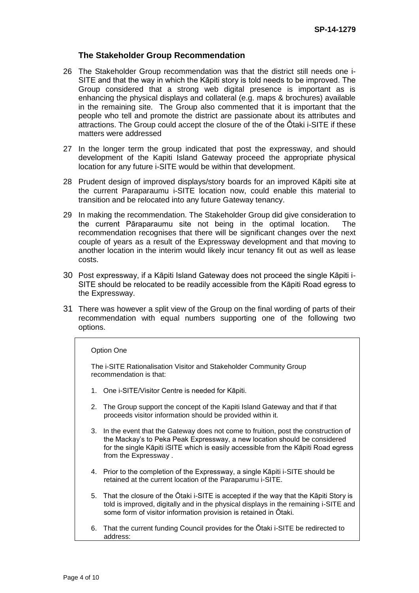## **The Stakeholder Group Recommendation**

- 26 The Stakeholder Group recommendation was that the district still needs one i-SITE and that the way in which the Kāpiti story is told needs to be improved. The Group considered that a strong web digital presence is important as is enhancing the physical displays and collateral (e.g. maps & brochures) available in the remaining site. The Group also commented that it is important that the people who tell and promote the district are passionate about its attributes and attractions. The Group could accept the closure of the of the Ōtaki i-SITE if these matters were addressed
- 27 In the longer term the group indicated that post the expressway, and should development of the Kapiti Island Gateway proceed the appropriate physical location for any future i-SITE would be within that development.
- 28 Prudent design of improved displays/story boards for an improved Kāpiti site at the current Paraparaumu i-SITE location now, could enable this material to transition and be relocated into any future Gateway tenancy.
- 29 In making the recommendation. The Stakeholder Group did give consideration to the current Pāraparaumu site not being in the optimal location. The recommendation recognises that there will be significant changes over the next couple of years as a result of the Expressway development and that moving to another location in the interim would likely incur tenancy fit out as well as lease costs.
- 30 Post expressway, if a Kāpiti Island Gateway does not proceed the single Kāpiti i-SITE should be relocated to be readily accessible from the Kāpiti Road egress to the Expressway.
- 31 There was however a split view of the Group on the final wording of parts of their recommendation with equal numbers supporting one of the following two options.

#### Option One

The i-SITE Rationalisation Visitor and Stakeholder Community Group recommendation is that:

- 1. One i-SITE/Visitor Centre is needed for Kāpiti.
- 2. The Group support the concept of the Kapiti Island Gateway and that if that proceeds visitor information should be provided within it.
- 3. In the event that the Gateway does not come to fruition, post the construction of the Mackay's to Peka Peak Expressway, a new location should be considered for the single Kāpiti iSITE which is easily accessible from the Kāpiti Road egress from the Expressway .
- 4. Prior to the completion of the Expressway, a single Kāpiti i-SITE should be retained at the current location of the Paraparumu i-SITE.
- 5. That the closure of the Ōtaki i-SITE is accepted if the way that the Kāpiti Story is told is improved, digitally and in the physical displays in the remaining i-SITE and some form of visitor information provision is retained in Ōtaki.
- 6. That the current funding Council provides for the Ōtaki i-SITE be redirected to address: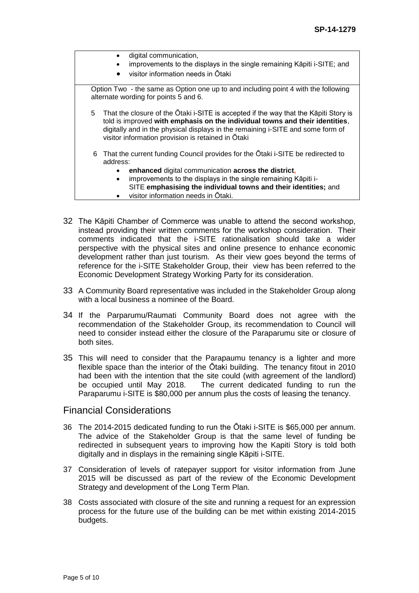- digital communication, improvements to the displays in the single remaining Kāpiti i-SITE; and visitor information needs in Ōtaki Option Two - the same as Option one up to and including point 4 with the following alternate wording for points 5 and 6. 5 That the closure of the Ōtaki i-SITE is accepted if the way that the Kāpiti Story is told is improved **with emphasis on the individual towns and their identities**, digitally and in the physical displays in the remaining i-SITE and some form of visitor information provision is retained in Ōtaki 6 That the current funding Council provides for the Ōtaki i-SITE be redirected to address: **enhanced** digital communication **across the district,** improvements to the displays in the single remaining Kāpiti i-SITE **emphasising the individual towns and their identities;** and
	- visitor information needs in Ōtaki.
- 32 The Kāpiti Chamber of Commerce was unable to attend the second workshop, instead providing their written comments for the workshop consideration. Their comments indicated that the i-SITE rationalisation should take a wider perspective with the physical sites and online presence to enhance economic development rather than just tourism. As their view goes beyond the terms of reference for the i-SITE Stakeholder Group, their view has been referred to the Economic Development Strategy Working Party for its consideration.
- 33 A Community Board representative was included in the Stakeholder Group along with a local business a nominee of the Board.
- 34 If the Parparumu/Raumati Community Board does not agree with the recommendation of the Stakeholder Group, its recommendation to Council will need to consider instead either the closure of the Paraparumu site or closure of both sites.
- 35 This will need to consider that the Parapaumu tenancy is a lighter and more flexible space than the interior of the Ōtaki building. The tenancy fitout in 2010 had been with the intention that the site could (with agreement of the landlord) be occupied until May 2018. The current dedicated funding to run the Paraparumu i-SITE is \$80,000 per annum plus the costs of leasing the tenancy.

### Financial Considerations

- 36 The 2014-2015 dedicated funding to run the Ōtaki i-SITE is \$65,000 per annum. The advice of the Stakeholder Group is that the same level of funding be redirected in subsequent years to improving how the Kapiti Story is told both digitally and in displays in the remaining single Kāpiti i-SITE.
- 37 Consideration of levels of ratepayer support for visitor information from June 2015 will be discussed as part of the review of the Economic Development Strategy and development of the Long Term Plan.
- 38 Costs associated with closure of the site and running a request for an expression process for the future use of the building can be met within existing 2014-2015 budgets.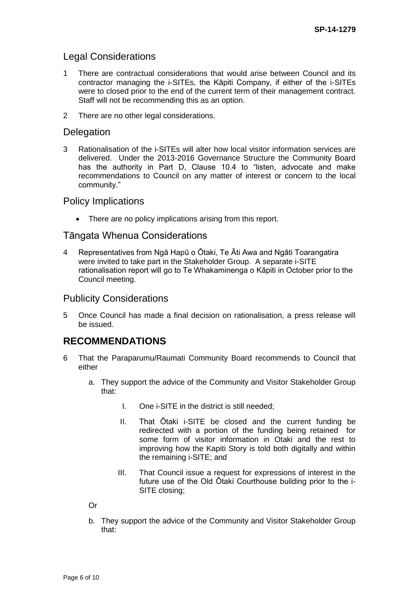# Legal Considerations

- 1 There are contractual considerations that would arise between Council and its contractor managing the i-SITEs, the Kāpiti Company, if either of the i-SITEs were to closed prior to the end of the current term of their management contract. Staff will not be recommending this as an option.
- 2 There are no other legal considerations.

# **Delegation**

3 Rationalisation of the i-SITEs will alter how local visitor information services are delivered. Under the 2013-2016 Governance Structure the Community Board has the authority in Part D, Clause 10.4 to "listen, advocate and make recommendations to Council on any matter of interest or concern to the local community."

## Policy Implications

• There are no policy implications arising from this report.

## Tāngata Whenua Considerations

4 Representatives from Ngā Hapū o Ōtaki, Te Āti Awa and Ngāti Toarangatira were invited to take part in the Stakeholder Group. A separate i-SITE rationalisation report will go to Te Whakaminenga o Kāpiti in October prior to the Council meeting.

# Publicity Considerations

5 Once Council has made a final decision on rationalisation, a press release will be issued.

# **RECOMMENDATIONS**

- 6 That the Paraparumu/Raumati Community Board recommends to Council that either
	- a. They support the advice of the Community and Visitor Stakeholder Group that:
		- I. One i-SITE in the district is still needed;
		- II. That Ōtaki i-SITE be closed and the current funding be redirected with a portion of the funding being retained for some form of visitor information in Otaki and the rest to improving how the Kapiti Story is told both digitally and within the remaining i-SITE; and
		- III. That Council issue a request for expressions of interest in the future use of the Old Ōtaki Courthouse building prior to the i-SITE closing;

#### Or

b. They support the advice of the Community and Visitor Stakeholder Group that: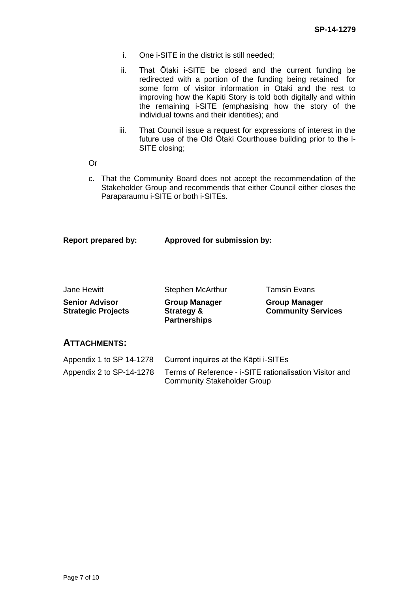- i. One i-SITE in the district is still needed;
- ii. That Ōtaki i-SITE be closed and the current funding be redirected with a portion of the funding being retained for some form of visitor information in Otaki and the rest to improving how the Kapiti Story is told both digitally and within the remaining i-SITE (emphasising how the story of the individual towns and their identities); and
- iii. That Council issue a request for expressions of interest in the future use of the Old Ōtaki Courthouse building prior to the i-SITE closing;
- Or
- c. That the Community Board does not accept the recommendation of the Stakeholder Group and recommends that either Council either closes the Paraparaumu i-SITE or both i-SITEs.

#### **Report prepared by: Approved for submission by:**

| Jane Hewitt                                        | Stephen McArthur                                          | <b>Tamsin Evans</b>                               |
|----------------------------------------------------|-----------------------------------------------------------|---------------------------------------------------|
| <b>Senior Advisor</b><br><b>Strategic Projects</b> | <b>Group Manager</b><br>Strategy &<br><b>Partnerships</b> | <b>Group Manager</b><br><b>Community Services</b> |

## **ATTACHMENTS:**

|                          | Appendix 1 to SP 14-1278 Current inquires at the Kapti i-SITEs                                |
|--------------------------|-----------------------------------------------------------------------------------------------|
| Appendix 2 to SP-14-1278 | Terms of Reference - i-SITE rationalisation Visitor and<br><b>Community Stakeholder Group</b> |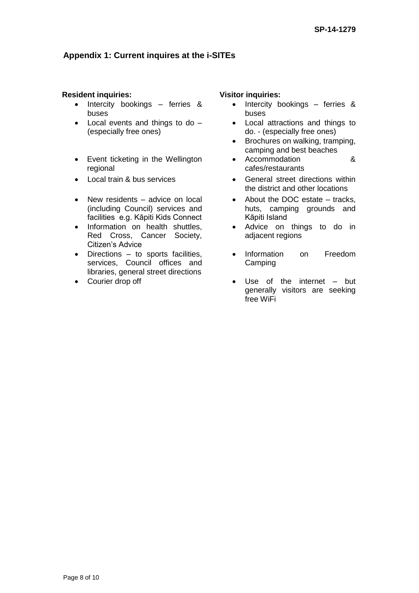# **Appendix 1: Current inquires at the i-SITEs**

#### **Resident inquiries: Visitor inquiries:**

- Intercity bookings ferries & buses
- Local events and things to do (especially free ones)
- Event ticketing in the Wellington regional
- 
- New residents advice on local (including Council) services and facilities e.g. Kāpiti Kids Connect
- Information on health shuttles, Red Cross, Cancer Society, Citizen's Advice
- Directions to sports facilities, services, Council offices and libraries, general street directions
- 

- Intercity bookings ferries & buses
- Local attractions and things to do. - (especially free ones)
- Brochures on walking, tramping, camping and best beaches
- Accommodation & cafes/restaurants
- Local train & bus services General street directions within the district and other locations
	- About the DOC estate tracks. huts, camping grounds and Kāpiti Island
	- Advice on things to do in adjacent regions
	- Information on Freedom **Camping**
- Courier drop off **but Courier drop of the internet** but generally visitors are seeking free WiFi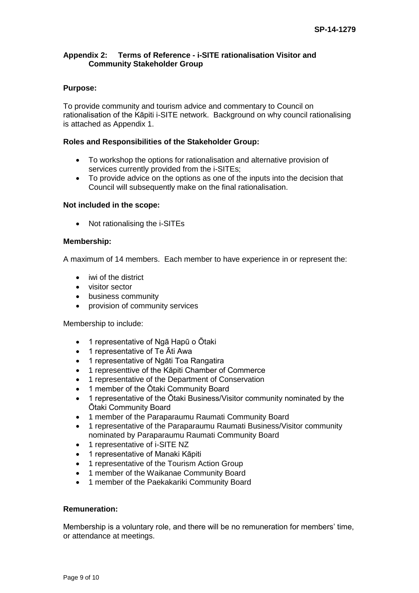#### **Appendix 2: Terms of Reference - i-SITE rationalisation Visitor and Community Stakeholder Group**

#### **Purpose:**

To provide community and tourism advice and commentary to Council on rationalisation of the Kāpiti i-SITE network. Background on why council rationalising is attached as Appendix 1.

#### **Roles and Responsibilities of the Stakeholder Group:**

- To workshop the options for rationalisation and alternative provision of services currently provided from the i-SITEs;
- To provide advice on the options as one of the inputs into the decision that Council will subsequently make on the final rationalisation.

#### **Not included in the scope:**

• Not rationalising the i-SITEs

#### **Membership:**

A maximum of 14 members. Each member to have experience in or represent the:

- iwi of the district
- visitor sector
- business community
- provision of community services

Membership to include:

- 1 representative of Ngā Hapū o Ōtaki
- 1 representative of Te Ati Awa
- 1 representative of Ngāti Toa Rangatira
- 1 representtive of the Kāpiti Chamber of Commerce
- 1 representative of the Department of Conservation
- 1 member of the Ōtaki Community Board
- 1 representative of the Ōtaki Business/Visitor community nominated by the Ōtaki Community Board
- 1 member of the Paraparaumu Raumati Community Board
- 1 representative of the Paraparaumu Raumati Business/Visitor community nominated by Paraparaumu Raumati Community Board
- 1 representative of i-SITE NZ
- 1 representative of Manaki Kāpiti
- 1 representative of the Tourism Action Group
- 1 member of the Waikanae Community Board
- 1 member of the Paekakariki Community Board

#### **Remuneration:**

Membership is a voluntary role, and there will be no remuneration for members' time, or attendance at meetings.